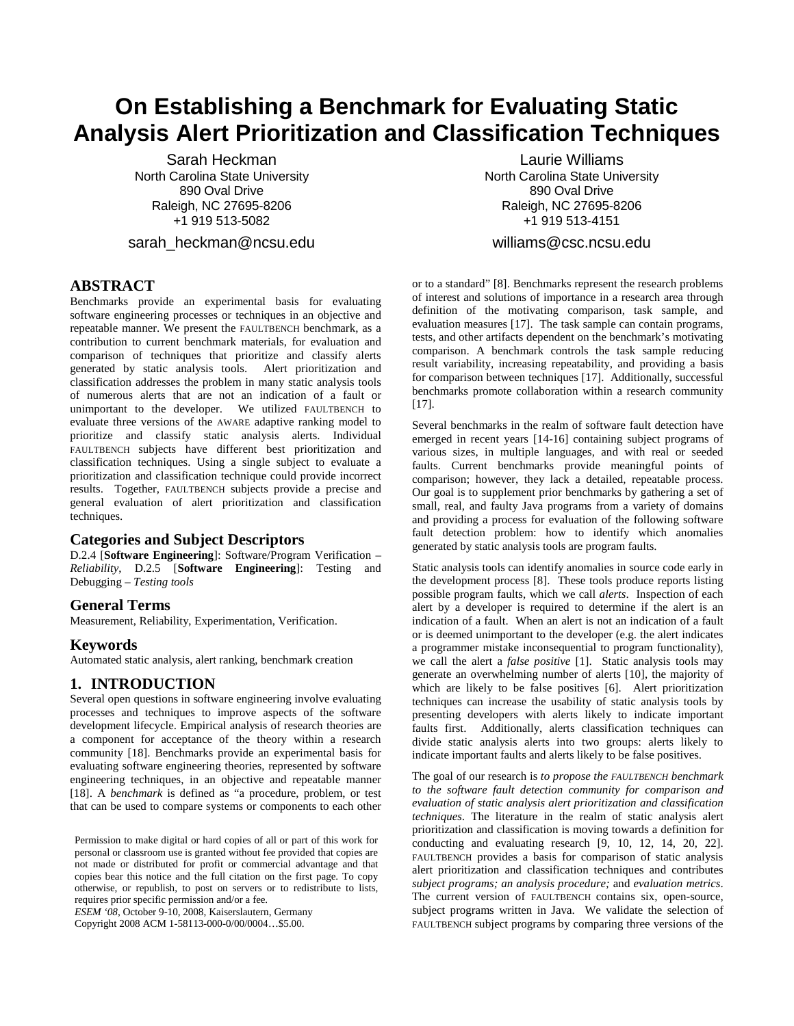# **On Establishing a Benchmark for Evaluating Static Analysis Alert Prioritization and Classification Techniques**

Sarah Heckman North Carolina State University 890 Oval Drive Raleigh, NC 27695-8206 +1 919 513-5082

sarah heckman@ncsu.edu

# **ABSTRACT**

Benchmarks provide an experimental basis for evaluating software engineering processes or techniques in an objective and repeatable manner. We present the FAULTBENCH benchmark, as a contribution to current benchmark materials, for evaluation and comparison of techniques that prioritize and classify alerts generated by static analysis tools. Alert prioritization and classification addresses the problem in many static analysis tools of numerous alerts that are not an indication of a fault or unimportant to the developer. We utilized FAULTBENCH to evaluate three versions of the AWARE adaptive ranking model to prioritize and classify static analysis alerts. Individual FAULTBENCH subjects have different best prioritization and classification techniques. Using a single subject to evaluate a prioritization and classification technique could provide incorrect results. Together, FAULTBENCH subjects provide a precise and general evaluation of alert prioritization and classification techniques.

## **Categories and Subject Descriptors**

D.2.4 [**Software Engineering**]: Software/Program Verification – *Reliability*, D.2.5 [**Software Engineering**]: Testing and Debugging – *Testing tools* 

## **General Terms**

Measurement, Reliability, Experimentation, Verification.

### **Keywords**

Automated static analysis, alert ranking, benchmark creation

## **1. INTRODUCTION**

Several open questions in software engineering involve evaluating processes and techniques to improve aspects of the software development lifecycle. Empirical analysis of research theories are a component for acceptance of the theory within a research community [18]. Benchmarks provide an experimental basis for evaluating software engineering theories, represented by software engineering techniques, in an objective and repeatable manner [18]. A *benchmark* is defined as "a procedure, problem, or test that can be used to compare systems or components to each other

Permission to make digital or hard copies of all or part of this work for personal or classroom use is granted without fee provided that copies are not made or distributed for profit or commercial advantage and that copies bear this notice and the full citation on the first page. To copy otherwise, or republish, to post on servers or to redistribute to lists, requires prior specific permission and/or a fee.

*ESEM '08*, October 9-10, 2008, Kaiserslautern, Germany Copyright 2008 ACM 1-58113-000-0/00/0004…\$5.00.

Laurie Williams North Carolina State University 890 Oval Drive Raleigh, NC 27695-8206 +1 919 513-4151

williams@csc.ncsu.edu

or to a standard" [8]. Benchmarks represent the research problems of interest and solutions of importance in a research area through definition of the motivating comparison, task sample, and evaluation measures [17]. The task sample can contain programs, tests, and other artifacts dependent on the benchmark's motivating comparison. A benchmark controls the task sample reducing result variability, increasing repeatability, and providing a basis for comparison between techniques [17]. Additionally, successful benchmarks promote collaboration within a research community [17].

Several benchmarks in the realm of software fault detection have emerged in recent years [14-16] containing subject programs of various sizes, in multiple languages, and with real or seeded faults. Current benchmarks provide meaningful points of comparison; however, they lack a detailed, repeatable process. Our goal is to supplement prior benchmarks by gathering a set of small, real, and faulty Java programs from a variety of domains and providing a process for evaluation of the following software fault detection problem: how to identify which anomalies generated by static analysis tools are program faults.

Static analysis tools can identify anomalies in source code early in the development process [8]. These tools produce reports listing possible program faults, which we call *alerts*. Inspection of each alert by a developer is required to determine if the alert is an indication of a fault. When an alert is not an indication of a fault or is deemed unimportant to the developer (e.g. the alert indicates a programmer mistake inconsequential to program functionality), we call the alert a *false positive* [1]. Static analysis tools may generate an overwhelming number of alerts [10], the majority of which are likely to be false positives [6]. Alert prioritization techniques can increase the usability of static analysis tools by presenting developers with alerts likely to indicate important faults first. Additionally, alerts classification techniques can divide static analysis alerts into two groups: alerts likely to indicate important faults and alerts likely to be false positives.

The goal of our research is *to propose the FAULTBENCH benchmark to the software fault detection community for comparison and evaluation of static analysis alert prioritization and classification techniques*. The literature in the realm of static analysis alert prioritization and classification is moving towards a definition for conducting and evaluating research [9, 10, 12, 14, 20, 22]. FAULTBENCH provides a basis for comparison of static analysis alert prioritization and classification techniques and contributes *subject programs; an analysis procedure;* and *evaluation metrics*. The current version of FAULTBENCH contains six, open-source, subject programs written in Java. We validate the selection of FAULTBENCH subject programs by comparing three versions of the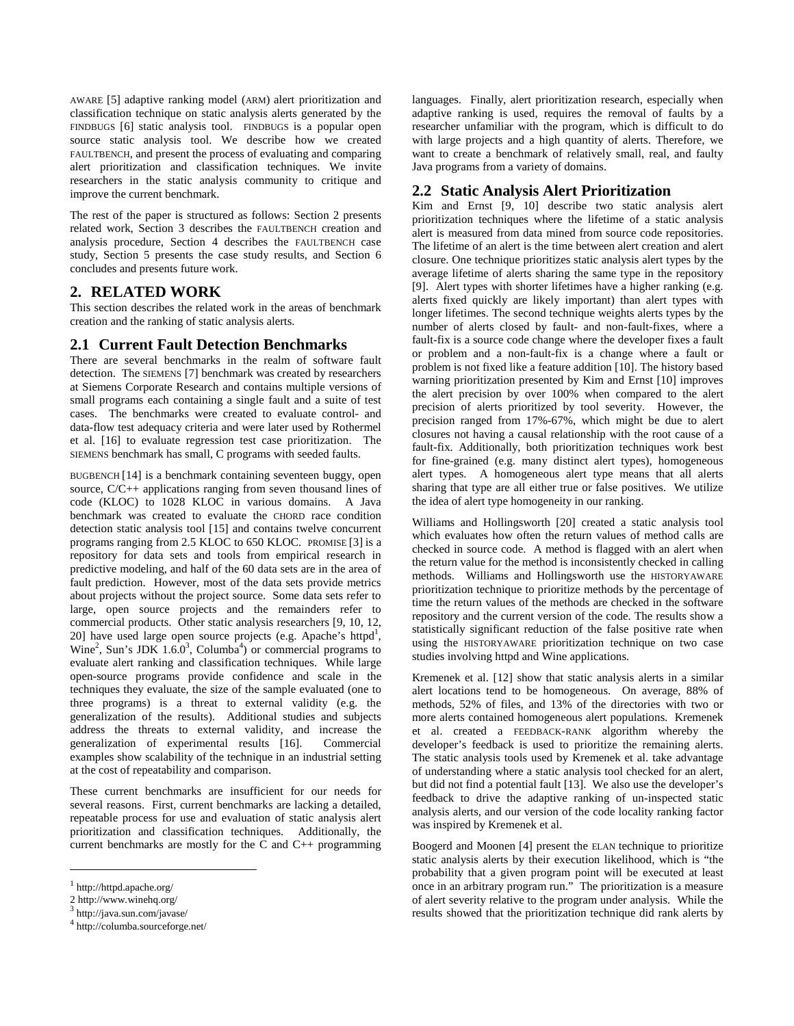AWARE [5] adaptive ranking model (ARM) alert prioritization and classification technique on static analysis alerts generated by the FINDBUGS [6] static analysis tool. FINDBUGS is a popular open source static analysis tool. We describe how we created FAULTBENCH, and present the process of evaluating and comparing alert prioritization and classification techniques. We invite researchers in the static analysis community to critique and improve the current benchmark.

The rest of the paper is structured as follows: Section 2 presents related work, Section 3 describes the FAULTBENCH creation and analysis procedure, Section 4 describes the FAULTBENCH case study, Section 5 presents the case study results, and Section 6 concludes and presents future work.

# **2. RELATED WORK**

This section describes the related work in the areas of benchmark creation and the ranking of static analysis alerts.

# **2.1 Current Fault Detection Benchmarks**

There are several benchmarks in the realm of software fault detection. The SIEMENS [7] benchmark was created by researchers at Siemens Corporate Research and contains multiple versions of small programs each containing a single fault and a suite of test cases. The benchmarks were created to evaluate control- and data-flow test adequacy criteria and were later used by Rothermel et al. [16] to evaluate regression test case prioritization. The SIEMENS benchmark has small, C programs with seeded faults.

BUGBENCH [14] is a benchmark containing seventeen buggy, open source, C/C++ applications ranging from seven thousand lines of code (KLOC) to 1028 KLOC in various domains. A Java benchmark was created to evaluate the CHORD race condition detection static analysis tool [15] and contains twelve concurrent programs ranging from 2.5 KLOC to 650 KLOC. PROMISE [3] is a repository for data sets and tools from empirical research in predictive modeling, and half of the 60 data sets are in the area of fault prediction. However, most of the data sets provide metrics about projects without the project source. Some data sets refer to large, open source projects and the remainders refer to commercial products. Other static analysis researchers [9, 10, 12, 20] have used large open source projects (e.g. Apache's httpd<sup>1</sup>, Wine<sup>2</sup>, Sun's JDK 1.6.0<sup>3</sup>, Columba<sup>4</sup>) or commercial programs to evaluate alert ranking and classification techniques. While large open-source programs provide confidence and scale in the techniques they evaluate, the size of the sample evaluated (one to three programs) is a threat to external validity (e.g. the generalization of the results). Additional studies and subjects address the threats to external validity, and increase the generalization of experimental results [16]. Commercial examples show scalability of the technique in an industrial setting at the cost of repeatability and comparison.

These current benchmarks are insufficient for our needs for several reasons. First, current benchmarks are lacking a detailed, repeatable process for use and evaluation of static analysis alert prioritization and classification techniques. Additionally, the current benchmarks are mostly for the C and C++ programming

1

languages. Finally, alert prioritization research, especially when adaptive ranking is used, requires the removal of faults by a researcher unfamiliar with the program, which is difficult to do with large projects and a high quantity of alerts. Therefore, we want to create a benchmark of relatively small, real, and faulty Java programs from a variety of domains.

## **2.2 Static Analysis Alert Prioritization**

Kim and Ernst [9, 10] describe two static analysis alert prioritization techniques where the lifetime of a static analysis alert is measured from data mined from source code repositories. The lifetime of an alert is the time between alert creation and alert closure. One technique prioritizes static analysis alert types by the average lifetime of alerts sharing the same type in the repository [9]. Alert types with shorter lifetimes have a higher ranking (e.g. alerts fixed quickly are likely important) than alert types with longer lifetimes. The second technique weights alerts types by the number of alerts closed by fault- and non-fault-fixes, where a fault-fix is a source code change where the developer fixes a fault or problem and a non-fault-fix is a change where a fault or problem is not fixed like a feature addition [10]. The history based warning prioritization presented by Kim and Ernst [10] improves the alert precision by over 100% when compared to the alert precision of alerts prioritized by tool severity. However, the precision ranged from 17%-67%, which might be due to alert closures not having a causal relationship with the root cause of a fault-fix. Additionally, both prioritization techniques work best for fine-grained (e.g. many distinct alert types), homogeneous alert types. A homogeneous alert type means that all alerts sharing that type are all either true or false positives. We utilize the idea of alert type homogeneity in our ranking.

Williams and Hollingsworth [20] created a static analysis tool which evaluates how often the return values of method calls are checked in source code. A method is flagged with an alert when the return value for the method is inconsistently checked in calling methods. Williams and Hollingsworth use the HISTORYAWARE prioritization technique to prioritize methods by the percentage of time the return values of the methods are checked in the software repository and the current version of the code. The results show a statistically significant reduction of the false positive rate when using the HISTORYAWARE prioritization technique on two case studies involving httpd and Wine applications.

Kremenek et al. [12] show that static analysis alerts in a similar alert locations tend to be homogeneous. On average, 88% of methods, 52% of files, and 13% of the directories with two or more alerts contained homogeneous alert populations. Kremenek et al. created a FEEDBACK-RANK algorithm whereby the developer's feedback is used to prioritize the remaining alerts. The static analysis tools used by Kremenek et al. take advantage of understanding where a static analysis tool checked for an alert, but did not find a potential fault [13]. We also use the developer's feedback to drive the adaptive ranking of un-inspected static analysis alerts, and our version of the code locality ranking factor was inspired by Kremenek et al.

Boogerd and Moonen [4] present the ELAN technique to prioritize static analysis alerts by their execution likelihood, which is "the probability that a given program point will be executed at least once in an arbitrary program run." The prioritization is a measure of alert severity relative to the program under analysis. While the results showed that the prioritization technique did rank alerts by

<sup>1</sup> http://httpd.apache.org/

<sup>2</sup> http://www.winehq.org/

<sup>3</sup> http://java.sun.com/javase/

<sup>4</sup> http://columba.sourceforge.net/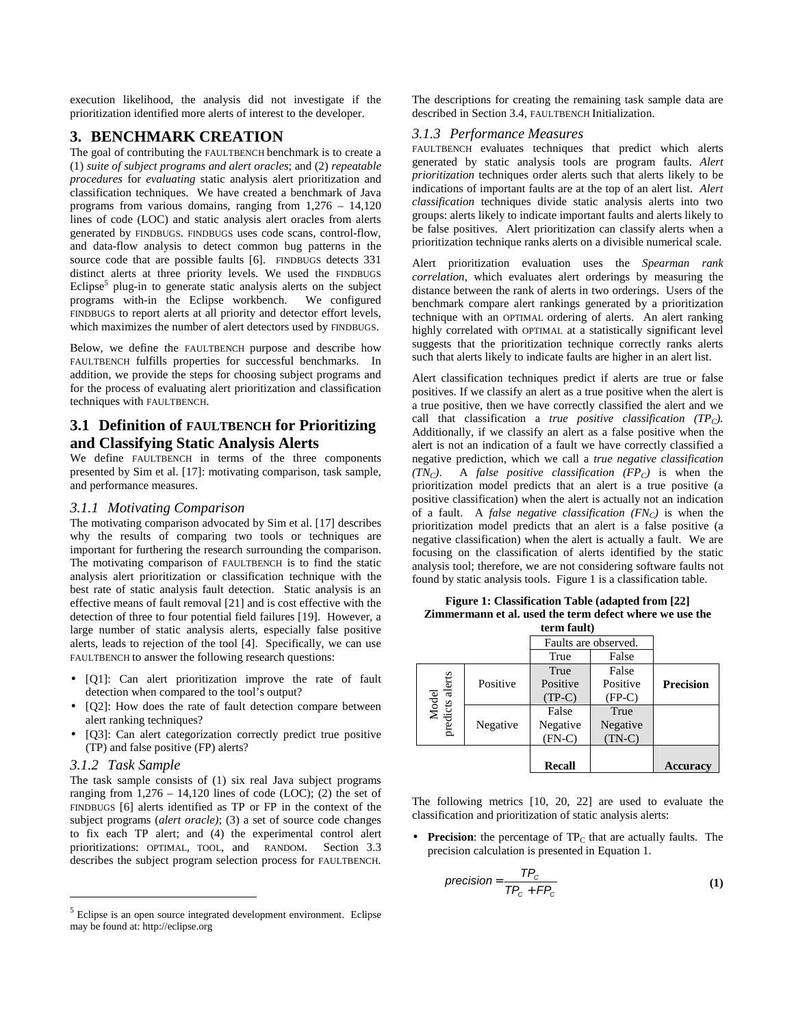execution likelihood, the analysis did not investigate if the prioritization identified more alerts of interest to the developer.

## **3. BENCHMARK CREATION**

The goal of contributing the FAULTBENCH benchmark is to create a (1) *suite of subject programs and alert oracles*; and (2) *repeatable procedures* for *evaluating* static analysis alert prioritization and classification techniques. We have created a benchmark of Java programs from various domains, ranging from 1,276 – 14,120 lines of code (LOC) and static analysis alert oracles from alerts generated by FINDBUGS. FINDBUGS uses code scans, control-flow, and data-flow analysis to detect common bug patterns in the source code that are possible faults [6]. FINDBUGS detects 331 distinct alerts at three priority levels. We used the FINDBUGS Eclipse<sup>5</sup> plug-in to generate static analysis alerts on the subject programs with-in the Eclipse workbench. We configured FINDBUGS to report alerts at all priority and detector effort levels, which maximizes the number of alert detectors used by FINDBUGS.

Below, we define the FAULTBENCH purpose and describe how FAULTBENCH fulfills properties for successful benchmarks. In addition, we provide the steps for choosing subject programs and for the process of evaluating alert prioritization and classification techniques with FAULTBENCH.

## **3.1 Definition of FAULTBENCH for Prioritizing and Classifying Static Analysis Alerts**

We define FAULTBENCH in terms of the three components presented by Sim et al. [17]: motivating comparison, task sample, and performance measures.

#### *3.1.1 Motivating Comparison*

The motivating comparison advocated by Sim et al. [17] describes why the results of comparing two tools or techniques are important for furthering the research surrounding the comparison. The motivating comparison of FAULTBENCH is to find the static analysis alert prioritization or classification technique with the best rate of static analysis fault detection. Static analysis is an effective means of fault removal [21] and is cost effective with the detection of three to four potential field failures [19]. However, a large number of static analysis alerts, especially false positive alerts, leads to rejection of the tool [4]. Specifically, we can use FAULTBENCH to answer the following research questions:

- [Q1]: Can alert prioritization improve the rate of fault detection when compared to the tool's output?
- [Q2]: How does the rate of fault detection compare between alert ranking techniques?
- [Q3]: Can alert categorization correctly predict true positive (TP) and false positive (FP) alerts?

#### *3.1.2 Task Sample*

 $\overline{a}$ 

The task sample consists of (1) six real Java subject programs ranging from  $1,276 - 14,120$  lines of code (LOC); (2) the set of FINDBUGS [6] alerts identified as TP or FP in the context of the subject programs (*alert oracle)*; (3) a set of source code changes to fix each TP alert; and (4) the experimental control alert prioritizations: OPTIMAL, TOOL, and RANDOM. Section 3.3 describes the subject program selection process for FAULTBENCH.

The descriptions for creating the remaining task sample data are described in Section 3.4, FAULTBENCH Initialization.

#### *3.1.3 Performance Measures*

FAULTBENCH evaluates techniques that predict which alerts generated by static analysis tools are program faults. *Alert prioritization* techniques order alerts such that alerts likely to be indications of important faults are at the top of an alert list. *Alert classification* techniques divide static analysis alerts into two groups: alerts likely to indicate important faults and alerts likely to be false positives. Alert prioritization can classify alerts when a prioritization technique ranks alerts on a divisible numerical scale.

Alert prioritization evaluation uses the *Spearman rank correlation*, which evaluates alert orderings by measuring the distance between the rank of alerts in two orderings. Users of the benchmark compare alert rankings generated by a prioritization technique with an OPTIMAL ordering of alerts. An alert ranking highly correlated with OPTIMAL at a statistically significant level suggests that the prioritization technique correctly ranks alerts such that alerts likely to indicate faults are higher in an alert list.

Alert classification techniques predict if alerts are true or false positives. If we classify an alert as a true positive when the alert is a true positive, then we have correctly classified the alert and we call that classification a *true positive classification (TPC).* Additionally, if we classify an alert as a false positive when the alert is not an indication of a fault we have correctly classified a negative prediction, which we call a *true negative classification*   $(TN_C)$ . A *false positive classification*  $(FP_C)$  is when the prioritization model predicts that an alert is a true positive (a positive classification) when the alert is actually not an indication of a fault. A *false negative classification (FNC)* is when the prioritization model predicts that an alert is a false positive (a negative classification) when the alert is actually a fault. We are focusing on the classification of alerts identified by the static analysis tool; therefore, we are not considering software faults not found by static analysis tools. Figure 1 is a classification table.

|                          | term fault) |          |                      |                  |  |
|--------------------------|-------------|----------|----------------------|------------------|--|
|                          |             |          | Faults are observed. |                  |  |
|                          |             | True     | False                |                  |  |
|                          |             | True     | False                |                  |  |
|                          | Positive    | Positive | Positive             | <b>Precision</b> |  |
|                          |             | $(TP-C)$ | $(FP-C)$             |                  |  |
| Model<br>predicts alerts |             | False    | True                 |                  |  |
|                          | Negative    | Negative | Negative             |                  |  |
|                          |             | $(FN-C)$ | $(TN-C)$             |                  |  |
|                          |             | Recall   |                      | <b>Accuracy</b>  |  |

**Figure 1: Classification Table (adapted from [22] Zimmermann et al. used the term defect where we use the** 

The following metrics [10, 20, 22] are used to evaluate the classification and prioritization of static analysis alerts:

• **Precision**: the percentage of  $TP_C$  that are actually faults. The precision calculation is presented in Equation 1.

$$
precision = \frac{TP_c}{TP_c + FP_c}
$$
 (1)

<sup>&</sup>lt;sup>5</sup> Eclipse is an open source integrated development environment. Eclipse may be found at: http://eclipse.org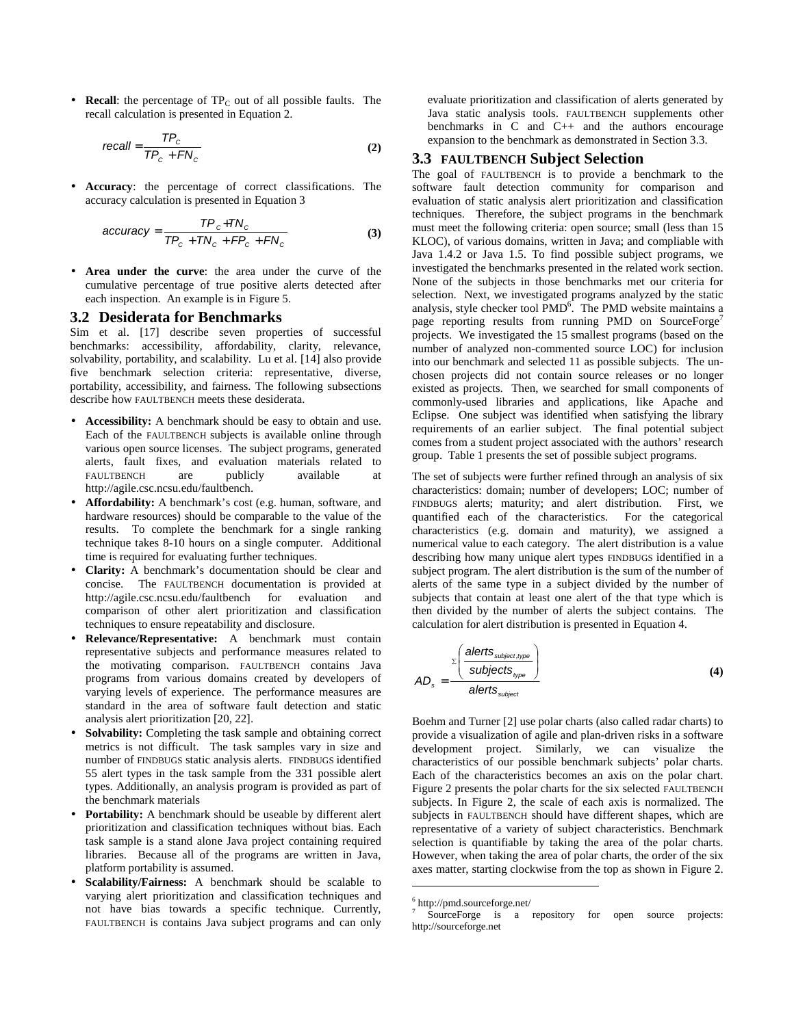• **Recall**: the percentage of  $TP_C$  out of all possible faults. The recall calculation is presented in Equation 2.

$$
recall = \frac{TP_c}{TP_c + FN_c}
$$
 (2)

• **Accuracy**: the percentage of correct classifications. The accuracy calculation is presented in Equation 3

$$
accuracy = \frac{TP_c + TN_c}{TP_c + TN_c + FP_c + FN_c}
$$
 (3)

• **Area under the curve**: the area under the curve of the cumulative percentage of true positive alerts detected after each inspection. An example is in Figure 5.

#### **3.2 Desiderata for Benchmarks**

Sim et al. [17] describe seven properties of successful benchmarks: accessibility, affordability, clarity, relevance, solvability, portability, and scalability. Lu et al. [14] also provide five benchmark selection criteria: representative, diverse, portability, accessibility, and fairness. The following subsections describe how FAULTBENCH meets these desiderata.

- **Accessibility:** A benchmark should be easy to obtain and use. Each of the FAULTBENCH subjects is available online through various open source licenses. The subject programs, generated alerts, fault fixes, and evaluation materials related to FAULTBENCH are publicly available at http://agile.csc.ncsu.edu/faultbench.
- **Affordability:** A benchmark's cost (e.g. human, software, and hardware resources) should be comparable to the value of the results. To complete the benchmark for a single ranking technique takes 8-10 hours on a single computer. Additional time is required for evaluating further techniques.
- **Clarity:** A benchmark's documentation should be clear and concise. The FAULTBENCH documentation is provided at http://agile.csc.ncsu.edu/faultbench for evaluation and comparison of other alert prioritization and classification techniques to ensure repeatability and disclosure.
- **Relevance/Representative:** A benchmark must contain representative subjects and performance measures related to the motivating comparison. FAULTBENCH contains Java programs from various domains created by developers of varying levels of experience. The performance measures are standard in the area of software fault detection and static analysis alert prioritization [20, 22].
- **Solvability:** Completing the task sample and obtaining correct metrics is not difficult. The task samples vary in size and number of FINDBUGS static analysis alerts. FINDBUGS identified 55 alert types in the task sample from the 331 possible alert types. Additionally, an analysis program is provided as part of the benchmark materials
- **Portability:** A benchmark should be useable by different alert prioritization and classification techniques without bias. Each task sample is a stand alone Java project containing required libraries. Because all of the programs are written in Java, platform portability is assumed.
- **Scalability/Fairness:** A benchmark should be scalable to varying alert prioritization and classification techniques and not have bias towards a specific technique. Currently, FAULTBENCH is contains Java subject programs and can only

evaluate prioritization and classification of alerts generated by Java static analysis tools. FAULTBENCH supplements other benchmarks in C and C++ and the authors encourage expansion to the benchmark as demonstrated in Section 3.3.

## **3.3 FAULTBENCH Subject Selection**

The goal of FAULTBENCH is to provide a benchmark to the software fault detection community for comparison and evaluation of static analysis alert prioritization and classification techniques. Therefore, the subject programs in the benchmark must meet the following criteria: open source; small (less than 15 KLOC), of various domains, written in Java; and compliable with Java 1.4.2 or Java 1.5. To find possible subject programs, we investigated the benchmarks presented in the related work section. None of the subjects in those benchmarks met our criteria for selection. Next, we investigated programs analyzed by the static analysis, style checker tool PMD<sup>6</sup>. The PMD website maintains a page reporting results from running PMD on SourceForge<sup>7</sup> projects. We investigated the 15 smallest programs (based on the number of analyzed non-commented source LOC) for inclusion into our benchmark and selected 11 as possible subjects. The unchosen projects did not contain source releases or no longer existed as projects. Then, we searched for small components of commonly-used libraries and applications, like Apache and Eclipse. One subject was identified when satisfying the library requirements of an earlier subject. The final potential subject comes from a student project associated with the authors' research group. Table 1 presents the set of possible subject programs.

The set of subjects were further refined through an analysis of six characteristics: domain; number of developers; LOC; number of FINDBUGS alerts; maturity; and alert distribution. First, we quantified each of the characteristics. For the categorical characteristics (e.g. domain and maturity), we assigned a numerical value to each category. The alert distribution is a value describing how many unique alert types FINDBUGS identified in a subject program. The alert distribution is the sum of the number of alerts of the same type in a subject divided by the number of subjects that contain at least one alert of the that type which is then divided by the number of alerts the subject contains. The calculation for alert distribution is presented in Equation 4.

$$
AD_s = \frac{\sum \left(\frac{\text{alerts}_{\text{subject},\text{type}}}{\text{subject},\text{type}}\right)}{\text{alerts}_{\text{subject}}}
$$
(4)

Boehm and Turner [2] use polar charts (also called radar charts) to provide a visualization of agile and plan-driven risks in a software development project. Similarly, we can visualize the characteristics of our possible benchmark subjects' polar charts. Each of the characteristics becomes an axis on the polar chart. Figure 2 presents the polar charts for the six selected FAULTBENCH subjects. In Figure 2, the scale of each axis is normalized. The subjects in FAULTBENCH should have different shapes, which are representative of a variety of subject characteristics. Benchmark selection is quantifiable by taking the area of the polar charts. However, when taking the area of polar charts, the order of the six axes matter, starting clockwise from the top as shown in Figure 2.

1

<sup>6</sup> http://pmd.sourceforge.net/

SourceForge is a repository for open source projects: http://sourceforge.net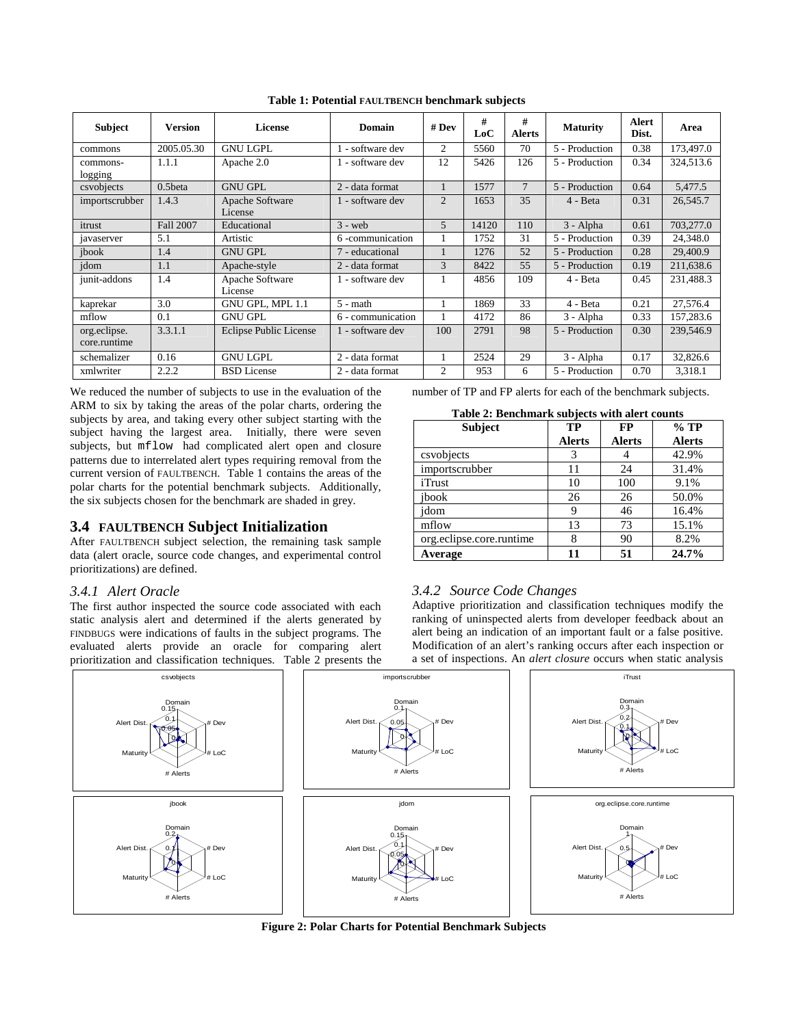| <b>Subject</b>               | <b>Version</b> | License                       | Domain            | # $Dev$        | #<br>LoC | #<br><b>Alerts</b> | <b>Maturity</b> | Alert<br>Dist. | Area      |
|------------------------------|----------------|-------------------------------|-------------------|----------------|----------|--------------------|-----------------|----------------|-----------|
| commons                      | 2005.05.30     | <b>GNU LGPL</b>               | 1 - software dev  | 2              | 5560     | 70                 | 5 - Production  | 0.38           | 173,497.0 |
| commons-<br>logging          | 1.1.1          | Apache 2.0                    | 1 - software dev  | 12             | 5426     | 126                | 5 - Production  | 0.34           | 324,513.6 |
| csvobjects                   | $0.5$ beta     | <b>GNU GPL</b>                | 2 - data format   |                | 1577     | $\tau$             | 5 - Production  | 0.64           | 5,477.5   |
| importscrubber               | 1.4.3          | Apache Software<br>License    | 1 - software dev  | $\overline{2}$ | 1653     | 35                 | 4 - Beta        | 0.31           | 26,545.7  |
| itrust                       | Fall 2007      | Educational                   | $3 - web$         | 5              | 14120    | 110                | 3 - Alpha       | 0.61           | 703,277.0 |
| javaserver                   | 5.1            | Artistic                      | 6 -communication  |                | 1752     | 31                 | 5 - Production  | 0.39           | 24,348.0  |
| jbook                        | 1.4            | <b>GNU GPL</b>                | 7 - educational   |                | 1276     | 52                 | 5 - Production  | 0.28           | 29,400.9  |
| idom                         | 1.1            | Apache-style                  | 2 - data format   | 3              | 8422     | 55                 | 5 - Production  | 0.19           | 211,638.6 |
| junit-addons                 | 1.4            | Apache Software<br>License    | 1 - software dev  |                | 4856     | 109                | 4 - Beta        | 0.45           | 231,488.3 |
| kaprekar                     | 3.0            | GNU GPL, MPL 1.1              | $5 - math$        |                | 1869     | 33                 | 4 - Beta        | 0.21           | 27,576.4  |
| mflow                        | 0.1            | <b>GNU GPL</b>                | 6 - communication |                | 4172     | 86                 | 3 - Alpha       | 0.33           | 157,283.6 |
| org.eclipse.<br>core.runtime | 3.3.1.1        | <b>Eclipse Public License</b> | 1 - software dev  | 100            | 2791     | 98                 | 5 - Production  | 0.30           | 239,546.9 |
| schemalizer                  | 0.16           | <b>GNU LGPL</b>               | 2 - data format   |                | 2524     | 29                 | 3 - Alpha       | 0.17           | 32,826.6  |
| xmlwriter                    | 2.2.2          | <b>BSD</b> License            | 2 - data format   | $\overline{2}$ | 953      | 6                  | 5 - Production  | 0.70           | 3.318.1   |

**Table 1: Potential FAULTBENCH benchmark subjects** 

We reduced the number of subjects to use in the evaluation of the ARM to six by taking the areas of the polar charts, ordering the subjects by area, and taking every other subject starting with the subject having the largest area. Initially, there were seven subjects, but mflow had complicated alert open and closure patterns due to interrelated alert types requiring removal from the current version of FAULTBENCH. Table 1 contains the areas of the polar charts for the potential benchmark subjects. Additionally, the six subjects chosen for the benchmark are shaded in grey.

## **3.4 FAULTBENCH Subject Initialization**

After FAULTBENCH subject selection, the remaining task sample data (alert oracle, source code changes, and experimental control prioritizations) are defined.

## *3.4.1 Alert Oracle*

The first author inspected the source code associated with each static analysis alert and determined if the alerts generated by FINDBUGS were indications of faults in the subject programs. The evaluated alerts provide an oracle for comparing alert prioritization and classification techniques. Table 2 presents the number of TP and FP alerts for each of the benchmark subjects.

| Table 2: Benchmark subjects with a lert counts |     |  |         |  |  |  |
|------------------------------------------------|-----|--|---------|--|--|--|
| Subiect                                        | TP. |  | $\%$ TI |  |  |  |

| <b>Subject</b>           | TP            | <b>FP</b>     | $%$ TP        |
|--------------------------|---------------|---------------|---------------|
|                          | <b>Alerts</b> | <b>Alerts</b> | <b>Alerts</b> |
| csvobjects               |               |               | 42.9%         |
| importscrubber           | 11            | 24            | 31.4%         |
| iTrust                   | 10            | 100           | 9.1%          |
| ibook                    | 26            | 26            | 50.0%         |
| jdom                     | 9             | 46            | 16.4%         |
| mflow                    | 13            | 73            | 15.1%         |
| org.eclipse.core.runtime | 8             | 90            | 8.2%          |
| Average                  |               | 51            | 24.7%         |

## *3.4.2 Source Code Changes*

Adaptive prioritization and classification techniques modify the ranking of uninspected alerts from developer feedback about an alert being an indication of an important fault or a false positive. Modification of an alert's ranking occurs after each inspection or a set of inspections. An *alert closure* occurs when static analysis



**Figure 2: Polar Charts for Potential Benchmark Subjects**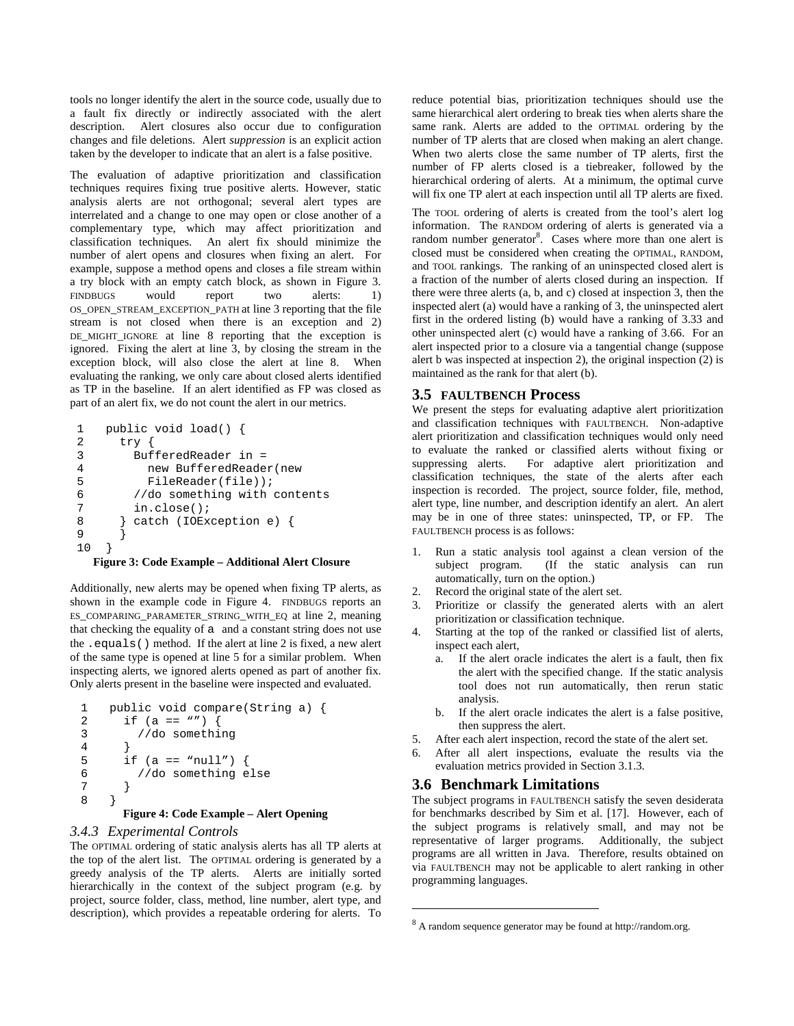tools no longer identify the alert in the source code, usually due to a fault fix directly or indirectly associated with the alert description. Alert closures also occur due to configuration changes and file deletions. Alert *suppression* is an explicit action taken by the developer to indicate that an alert is a false positive.

The evaluation of adaptive prioritization and classification techniques requires fixing true positive alerts. However, static analysis alerts are not orthogonal; several alert types are interrelated and a change to one may open or close another of a complementary type, which may affect prioritization and classification techniques. An alert fix should minimize the number of alert opens and closures when fixing an alert. For example, suppose a method opens and closes a file stream within a try block with an empty catch block, as shown in Figure 3. FINDBUGS would report two alerts: 1) OS\_OPEN\_STREAM\_EXCEPTION\_PATH at line 3 reporting that the file stream is not closed when there is an exception and 2) DE\_MIGHT\_IGNORE at line 8 reporting that the exception is ignored. Fixing the alert at line 3, by closing the stream in the exception block, will also close the alert at line 8. When evaluating the ranking, we only care about closed alerts identified as TP in the baseline. If an alert identified as FP was closed as part of an alert fix, we do not count the alert in our metrics.

```
1 public void load() \{2 \text{ try }2 \quad \text{try} \{<br>3 Buf:
3 BufferedReader in =<br>4 new BufferedReade
            new BufferedReader(new
5 FileReader(file)); 
6 //do something with contents 
7 in.close();<br>8 } catch (IOEx)
        8 } catch (IOException e) { 
9 } 
10 }
```
#### **Figure 3: Code Example – Additional Alert Closure**

Additionally, new alerts may be opened when fixing TP alerts, as shown in the example code in Figure 4. FINDBUGS reports an ES\_COMPARING\_PARAMETER\_STRING\_WITH\_EQ at line 2, meaning that checking the equality of a and a constant string does not use the .equals() method. If the alert at line 2 is fixed, a new alert of the same type is opened at line 5 for a similar problem. When inspecting alerts, we ignored alerts opened as part of another fix. Only alerts present in the baseline were inspected and evaluated.

```
1 public void compare(String a) { 
2 if (a == "") {<br>3 //do somethi
         //do something
\overline{4}5 if (a == "null") {
6 //do something else 
7 } 
8 }
```
#### **Figure 4: Code Example – Alert Opening**

#### *3.4.3 Experimental Controls*

The OPTIMAL ordering of static analysis alerts has all TP alerts at the top of the alert list. The OPTIMAL ordering is generated by a greedy analysis of the TP alerts. Alerts are initially sorted hierarchically in the context of the subject program (e.g. by project, source folder, class, method, line number, alert type, and description), which provides a repeatable ordering for alerts. To

reduce potential bias, prioritization techniques should use the same hierarchical alert ordering to break ties when alerts share the same rank. Alerts are added to the OPTIMAL ordering by the number of TP alerts that are closed when making an alert change. When two alerts close the same number of TP alerts, first the number of FP alerts closed is a tiebreaker, followed by the hierarchical ordering of alerts. At a minimum, the optimal curve will fix one TP alert at each inspection until all TP alerts are fixed.

The TOOL ordering of alerts is created from the tool's alert log information. The RANDOM ordering of alerts is generated via a random number generator<sup>8</sup>. Cases where more than one alert is closed must be considered when creating the OPTIMAL, RANDOM, and TOOL rankings. The ranking of an uninspected closed alert is a fraction of the number of alerts closed during an inspection. If there were three alerts (a, b, and c) closed at inspection 3, then the inspected alert (a) would have a ranking of 3, the uninspected alert first in the ordered listing (b) would have a ranking of 3.33 and other uninspected alert (c) would have a ranking of 3.66. For an alert inspected prior to a closure via a tangential change (suppose alert b was inspected at inspection 2), the original inspection (2) is maintained as the rank for that alert (b).

## **3.5 FAULTBENCH Process**

We present the steps for evaluating adaptive alert prioritization and classification techniques with FAULTBENCH. Non-adaptive alert prioritization and classification techniques would only need to evaluate the ranked or classified alerts without fixing or suppressing alerts. For adaptive alert prioritization and classification techniques, the state of the alerts after each inspection is recorded. The project, source folder, file, method, alert type, line number, and description identify an alert. An alert may be in one of three states: uninspected, TP, or FP. The FAULTBENCH process is as follows:

- 1. Run a static analysis tool against a clean version of the subject program. (If the static analysis can run automatically, turn on the option.)
- Record the original state of the alert set.
- Prioritize or classify the generated alerts with an alert prioritization or classification technique.
- 4. Starting at the top of the ranked or classified list of alerts, inspect each alert,
	- a. If the alert oracle indicates the alert is a fault, then fix the alert with the specified change. If the static analysis tool does not run automatically, then rerun static analysis.
	- b. If the alert oracle indicates the alert is a false positive, then suppress the alert.
- 5. After each alert inspection, record the state of the alert set.
- 6. After all alert inspections, evaluate the results via the evaluation metrics provided in Section 3.1.3.

#### **3.6 Benchmark Limitations**

1

The subject programs in FAULTBENCH satisfy the seven desiderata for benchmarks described by Sim et al. [17]. However, each of the subject programs is relatively small, and may not be representative of larger programs. Additionally, the subject programs are all written in Java. Therefore, results obtained on via FAULTBENCH may not be applicable to alert ranking in other programming languages.

<sup>8</sup> A random sequence generator may be found at http://random.org.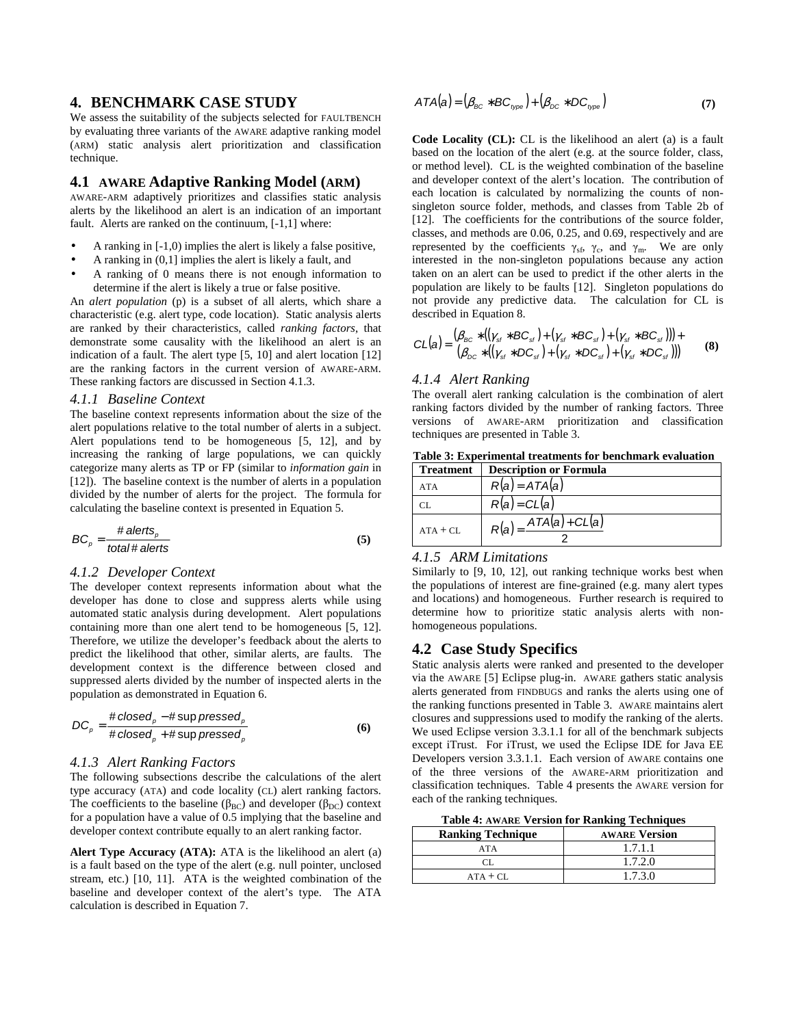## **4. BENCHMARK CASE STUDY**

We assess the suitability of the subjects selected for FAULTBENCH by evaluating three variants of the AWARE adaptive ranking model (ARM) static analysis alert prioritization and classification technique.

## **4.1 AWARE Adaptive Ranking Model (ARM)**

AWARE-ARM adaptively prioritizes and classifies static analysis alerts by the likelihood an alert is an indication of an important fault. Alerts are ranked on the continuum, [-1,1] where:

- A ranking in [-1,0) implies the alert is likely a false positive,
- A ranking in (0,1] implies the alert is likely a fault, and
- A ranking of 0 means there is not enough information to determine if the alert is likely a true or false positive.

An *alert population* (p) is a subset of all alerts, which share a characteristic (e.g. alert type, code location). Static analysis alerts are ranked by their characteristics, called *ranking factors*, that demonstrate some causality with the likelihood an alert is an indication of a fault. The alert type [5, 10] and alert location [12] are the ranking factors in the current version of AWARE-ARM. These ranking factors are discussed in Section 4.1.3.

#### *4.1.1 Baseline Context*

The baseline context represents information about the size of the alert populations relative to the total number of alerts in a subject. Alert populations tend to be homogeneous [5, 12], and by increasing the ranking of large populations, we can quickly categorize many alerts as TP or FP (similar to *information gain* in [12]). The baseline context is the number of alerts in a population divided by the number of alerts for the project. The formula for calculating the baseline context is presented in Equation 5.

$$
BC_{\rho} = \frac{\# \text{ alerts}_{\rho}}{\text{total} \# \text{ alerts}}
$$
 (5)

#### *4.1.2 Developer Context*

The developer context represents information about what the developer has done to close and suppress alerts while using automated static analysis during development. Alert populations containing more than one alert tend to be homogeneous [5, 12]. Therefore, we utilize the developer's feedback about the alerts to predict the likelihood that other, similar alerts, are faults. The development context is the difference between closed and suppressed alerts divided by the number of inspected alerts in the population as demonstrated in Equation 6.

$$
DC_{\rho} = \frac{\# closed_{\rho} - \# \sup pressed_{\rho}}{\# closed_{\rho} + \# \sup pressed_{\rho}}
$$
(6)

#### *4.1.3 Alert Ranking Factors*

The following subsections describe the calculations of the alert type accuracy (ATA) and code locality (CL) alert ranking factors. The coefficients to the baseline ( $\beta_{BC}$ ) and developer ( $\beta_{DC}$ ) context for a population have a value of 0.5 implying that the baseline and developer context contribute equally to an alert ranking factor.

**Alert Type Accuracy (ATA):** ATA is the likelihood an alert (a) is a fault based on the type of the alert (e.g. null pointer, unclosed stream, etc.) [10, 11]. ATA is the weighted combination of the baseline and developer context of the alert's type. The ATA calculation is described in Equation 7.

$$
ATA(a) = (\beta_{BC} * BC_{type}) + (\beta_{DC} * DC_{type})
$$
\n(7)

**Code Locality (CL):** CL is the likelihood an alert (a) is a fault based on the location of the alert (e.g. at the source folder, class, or method level). CL is the weighted combination of the baseline and developer context of the alert's location. The contribution of each location is calculated by normalizing the counts of nonsingleton source folder, methods, and classes from Table 2b of [12]. The coefficients for the contributions of the source folder, classes, and methods are 0.06, 0.25, and 0.69, respectively and are represented by the coefficients  $\gamma_{sf}$ ,  $\gamma_{c}$ , and  $\gamma_{m}$ . We are only interested in the non-singleton populations because any action taken on an alert can be used to predict if the other alerts in the population are likely to be faults [12]. Singleton populations do not provide any predictive data. The calculation for CL is described in Equation 8.

$$
CL(a) = \frac{(\beta_{BC} * ((\gamma_{st} * BC_{st}) + (\gamma_{st} * BC_{st}) + (\gamma_{st} * BC_{st}))) +}{(\beta_{DC} * ((\gamma_{st} * DC_{st}) + (\gamma_{st} * DC_{st}) + (\gamma_{st} * DC_{st})))}
$$
(8)

#### *4.1.4 Alert Ranking*

The overall alert ranking calculation is the combination of alert ranking factors divided by the number of ranking factors. Three versions of AWARE-ARM prioritization and classification techniques are presented in Table 3.

| <b>Treatment</b> | <b>Description or Formula</b> |
|------------------|-------------------------------|
| <b>ATA</b>       | $R(a) = ATA(a)$               |
|                  | $R(a) = CL(a)$                |
| $ATA + CI$ .     | $ATA(a) + CL(a)$<br>R(a)      |

2

## **Table 3: Experimental treatments for benchmark evaluation**

## *4.1.5 ARM Limitations*

Similarly to [9, 10, 12], out ranking technique works best when the populations of interest are fine-grained (e.g. many alert types and locations) and homogeneous. Further research is required to determine how to prioritize static analysis alerts with nonhomogeneous populations.

## **4.2 Case Study Specifics**

Static analysis alerts were ranked and presented to the developer via the AWARE [5] Eclipse plug-in. AWARE gathers static analysis alerts generated from FINDBUGS and ranks the alerts using one of the ranking functions presented in Table 3. AWARE maintains alert closures and suppressions used to modify the ranking of the alerts. We used Eclipse version 3.3.1.1 for all of the benchmark subjects except iTrust. For iTrust, we used the Eclipse IDE for Java EE Developers version 3.3.1.1. Each version of AWARE contains one of the three versions of the AWARE-ARM prioritization and classification techniques. Table 4 presents the AWARE version for each of the ranking techniques.

**Table 4: AWARE Version for Ranking Techniques** 

| <b>Ranking Technique</b> | <b>AWARE Version</b> |
|--------------------------|----------------------|
| ATA                      | 1.7.1.1              |
| СI                       | 1.7.2.0              |
| $ATA + CI$ .             | 1.7.3.0              |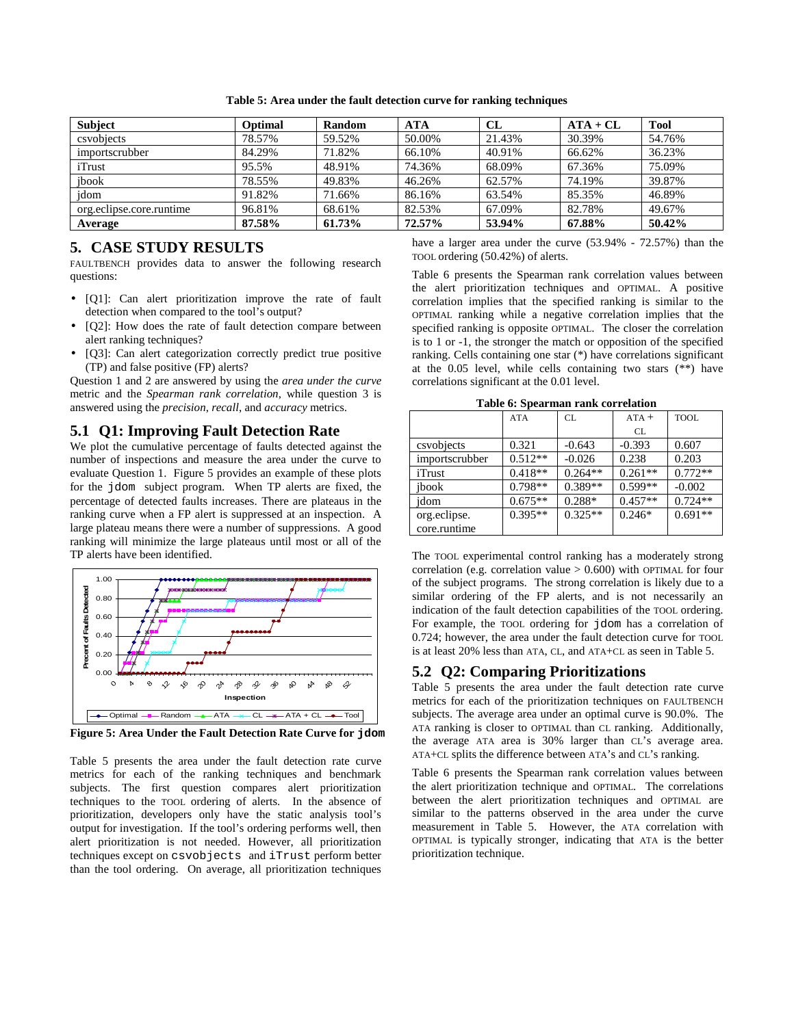| <b>Subject</b>           | Optimal | Random | <b>ATA</b> | CL     | $ATA + CL$ | <b>Tool</b> |
|--------------------------|---------|--------|------------|--------|------------|-------------|
| csyobjects               | 78.57%  | 59.52% | 50.00%     | 21.43% | 30.39%     | 54.76%      |
| importscrubber           | 84.29%  | 71.82% | 66.10%     | 40.91% | 66.62%     | 36.23%      |
| iTrust                   | 95.5%   | 48.91% | 74.36%     | 68.09% | 67.36%     | 75.09%      |
| jbook                    | 78.55%  | 49.83% | 46.26%     | 62.57% | 74.19%     | 39.87%      |
| jdom                     | 91.82%  | 71.66% | 86.16%     | 63.54% | 85.35%     | 46.89%      |
| org.eclipse.core.runtime | 96.81%  | 68.61% | 82.53%     | 67.09% | 82.78%     | 49.67%      |
| Average                  | 87.58%  | 61.73% | 72.57%     | 53.94% | 67.88%     | 50.42%      |

**Table 5: Area under the fault detection curve for ranking techniques** 

## **5. CASE STUDY RESULTS**

FAULTBENCH provides data to answer the following research questions:

- [Q1]: Can alert prioritization improve the rate of fault detection when compared to the tool's output?
- [Q2]: How does the rate of fault detection compare between alert ranking techniques?
- [Q3]: Can alert categorization correctly predict true positive (TP) and false positive (FP) alerts?

Question 1 and 2 are answered by using the *area under the curve* metric and the *Spearman rank correlation*, while question 3 is answered using the *precision*, *recall*, and *accuracy* metrics.

## **5.1 Q1: Improving Fault Detection Rate**

We plot the cumulative percentage of faults detected against the number of inspections and measure the area under the curve to evaluate Question 1. Figure 5 provides an example of these plots for the jdom subject program. When TP alerts are fixed, the percentage of detected faults increases. There are plateaus in the ranking curve when a FP alert is suppressed at an inspection. A large plateau means there were a number of suppressions. A good ranking will minimize the large plateaus until most or all of the TP alerts have been identified.



**Figure 5: Area Under the Fault Detection Rate Curve for jdom** 

Table 5 presents the area under the fault detection rate curve metrics for each of the ranking techniques and benchmark subjects. The first question compares alert prioritization techniques to the TOOL ordering of alerts. In the absence of prioritization, developers only have the static analysis tool's output for investigation. If the tool's ordering performs well, then alert prioritization is not needed. However, all prioritization techniques except on csvobjects and iTrust perform better than the tool ordering. On average, all prioritization techniques

have a larger area under the curve (53.94% - 72.57%) than the TOOL ordering (50.42%) of alerts.

Table 6 presents the Spearman rank correlation values between the alert prioritization techniques and OPTIMAL. A positive correlation implies that the specified ranking is similar to the OPTIMAL ranking while a negative correlation implies that the specified ranking is opposite OPTIMAL. The closer the correlation is to 1 or -1, the stronger the match or opposition of the specified ranking. Cells containing one star (\*) have correlations significant at the 0.05 level, while cells containing two stars (\*\*) have correlations significant at the 0.01 level.

| Table v. Spearman rank correlation |            |           |           |             |  |  |  |  |
|------------------------------------|------------|-----------|-----------|-------------|--|--|--|--|
|                                    | <b>ATA</b> | CL        | $ATA +$   | <b>TOOL</b> |  |  |  |  |
|                                    |            |           | CL.       |             |  |  |  |  |
| csvobjects                         | 0.321      | $-0.643$  | $-0.393$  | 0.607       |  |  |  |  |
| importscrubber                     | $0.512**$  | $-0.026$  | 0.238     | 0.203       |  |  |  |  |
| iTrust                             | $0.418**$  | $0.264**$ | $0.261**$ | $0.772**$   |  |  |  |  |
| jbook                              | $0.798**$  | $0.389**$ | $0.599**$ | $-0.002$    |  |  |  |  |
| jdom                               | $0.675**$  | $0.288*$  | $0.457**$ | $0.724**$   |  |  |  |  |
| org.eclipse.                       | $0.395**$  | $0.325**$ | $0.246*$  | $0.691**$   |  |  |  |  |
| core.runtime                       |            |           |           |             |  |  |  |  |
|                                    |            |           |           |             |  |  |  |  |

**Table 6: Spearman rank correlation** 

The TOOL experimental control ranking has a moderately strong correlation (e.g. correlation value  $> 0.600$ ) with OPTIMAL for four of the subject programs. The strong correlation is likely due to a similar ordering of the FP alerts, and is not necessarily an indication of the fault detection capabilities of the TOOL ordering. For example, the TOOL ordering for jdom has a correlation of 0.724; however, the area under the fault detection curve for TOOL is at least 20% less than ATA, CL, and ATA+CL as seen in Table 5.

## **5.2 Q2: Comparing Prioritizations**

Table 5 presents the area under the fault detection rate curve metrics for each of the prioritization techniques on FAULTBENCH subjects. The average area under an optimal curve is 90.0%. The ATA ranking is closer to OPTIMAL than CL ranking. Additionally, the average ATA area is 30% larger than CL's average area. ATA+CL splits the difference between ATA's and CL's ranking.

Table 6 presents the Spearman rank correlation values between the alert prioritization technique and OPTIMAL. The correlations between the alert prioritization techniques and OPTIMAL are similar to the patterns observed in the area under the curve measurement in Table 5. However, the ATA correlation with OPTIMAL is typically stronger, indicating that ATA is the better prioritization technique.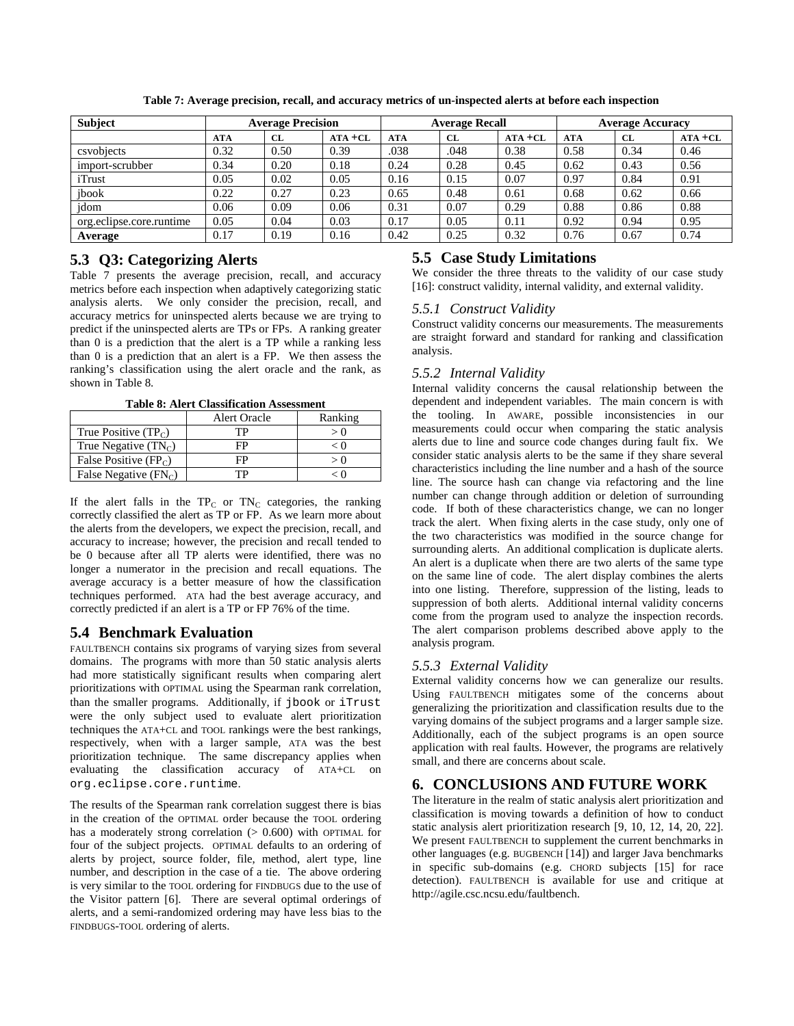| <b>Subject</b>           | <b>Average Precision</b> |      | <b>Average Recall</b> |            |           | <b>Average Accuracy</b> |            |      |            |
|--------------------------|--------------------------|------|-----------------------|------------|-----------|-------------------------|------------|------|------------|
|                          | <b>ATA</b>               | CL   | $ATA + CL$            | <b>ATA</b> | <b>CL</b> | $ATA + CL$              | <b>ATA</b> | CL   | $ATA + CL$ |
| csyobiects               | 0.32                     | 0.50 | 0.39                  | .038       | .048      | 0.38                    | 0.58       | 0.34 | 0.46       |
| import-scrubber          | 0.34                     | 0.20 | 0.18                  | 0.24       | 0.28      | 0.45                    | 0.62       | 0.43 | 0.56       |
| iTrust                   | 0.05                     | 0.02 | 0.05                  | 0.16       | 0.15      | 0.07                    | 0.97       | 0.84 | 0.91       |
| jbook                    | 0.22                     | 0.27 | 0.23                  | 0.65       | 0.48      | 0.61                    | 0.68       | 0.62 | 0.66       |
| jdom                     | 0.06                     | 0.09 | 0.06                  | 0.31       | 0.07      | 0.29                    | 0.88       | 0.86 | 0.88       |
| org.eclipse.core.runtime | 0.05                     | 0.04 | 0.03                  | 0.17       | 0.05      | 0.11                    | 0.92       | 0.94 | 0.95       |
| Average                  | 0.17                     | 0.19 | 0.16                  | 0.42       | 0.25      | 0.32                    | 0.76       | 0.67 | 0.74       |

**Table 7: Average precision, recall, and accuracy metrics of un-inspected alerts at before each inspection** 

# **5.3 Q3: Categorizing Alerts**

Table 7 presents the average precision, recall, and accuracy metrics before each inspection when adaptively categorizing static analysis alerts. We only consider the precision, recall, and accuracy metrics for uninspected alerts because we are trying to predict if the uninspected alerts are TPs or FPs. A ranking greater than 0 is a prediction that the alert is a TP while a ranking less than 0 is a prediction that an alert is a FP. We then assess the ranking's classification using the alert oracle and the rank, as shown in Table 8.

**Table 8: Alert Classification Assessment** 

|                         | <b>Alert Oracle</b> | Ranking |
|-------------------------|---------------------|---------|
| True Positive $(TP_C)$  | TP                  |         |
| True Negative $(TN_C)$  | FP                  | < ()    |
| False Positive $(FP_C)$ | FP                  |         |
| False Negative $(FN_C)$ | ГP                  |         |

If the alert falls in the  $TP_C$  or  $TN_C$  categories, the ranking correctly classified the alert as TP or FP. As we learn more about the alerts from the developers, we expect the precision, recall, and accuracy to increase; however, the precision and recall tended to be 0 because after all TP alerts were identified, there was no longer a numerator in the precision and recall equations. The average accuracy is a better measure of how the classification techniques performed. ATA had the best average accuracy, and correctly predicted if an alert is a TP or FP 76% of the time.

# **5.4 Benchmark Evaluation**

FAULTBENCH contains six programs of varying sizes from several domains. The programs with more than 50 static analysis alerts had more statistically significant results when comparing alert prioritizations with OPTIMAL using the Spearman rank correlation, than the smaller programs. Additionally, if jbook or iTrust were the only subject used to evaluate alert prioritization techniques the ATA+CL and TOOL rankings were the best rankings, respectively, when with a larger sample, ATA was the best prioritization technique. The same discrepancy applies when evaluating the classification accuracy of ATA+CL on org.eclipse.core.runtime.

The results of the Spearman rank correlation suggest there is bias in the creation of the OPTIMAL order because the TOOL ordering has a moderately strong correlation  $(> 0.600)$  with OPTIMAL for four of the subject projects. OPTIMAL defaults to an ordering of alerts by project, source folder, file, method, alert type, line number, and description in the case of a tie. The above ordering is very similar to the TOOL ordering for FINDBUGS due to the use of the Visitor pattern [6]. There are several optimal orderings of alerts, and a semi-randomized ordering may have less bias to the FINDBUGS-TOOL ordering of alerts.

# **5.5 Case Study Limitations**

We consider the three threats to the validity of our case study [16]: construct validity, internal validity, and external validity.

## *5.5.1 Construct Validity*

Construct validity concerns our measurements. The measurements are straight forward and standard for ranking and classification analysis.

## *5.5.2 Internal Validity*

Internal validity concerns the causal relationship between the dependent and independent variables. The main concern is with the tooling. In AWARE, possible inconsistencies in our measurements could occur when comparing the static analysis alerts due to line and source code changes during fault fix. We consider static analysis alerts to be the same if they share several characteristics including the line number and a hash of the source line. The source hash can change via refactoring and the line number can change through addition or deletion of surrounding code. If both of these characteristics change, we can no longer track the alert. When fixing alerts in the case study, only one of the two characteristics was modified in the source change for surrounding alerts. An additional complication is duplicate alerts. An alert is a duplicate when there are two alerts of the same type on the same line of code. The alert display combines the alerts into one listing. Therefore, suppression of the listing, leads to suppression of both alerts. Additional internal validity concerns come from the program used to analyze the inspection records. The alert comparison problems described above apply to the analysis program.

## *5.5.3 External Validity*

External validity concerns how we can generalize our results. Using FAULTBENCH mitigates some of the concerns about generalizing the prioritization and classification results due to the varying domains of the subject programs and a larger sample size. Additionally, each of the subject programs is an open source application with real faults. However, the programs are relatively small, and there are concerns about scale.

# **6. CONCLUSIONS AND FUTURE WORK**

The literature in the realm of static analysis alert prioritization and classification is moving towards a definition of how to conduct static analysis alert prioritization research [9, 10, 12, 14, 20, 22]. We present FAULTBENCH to supplement the current benchmarks in other languages (e.g. BUGBENCH [14]) and larger Java benchmarks in specific sub-domains (e.g. CHORD subjects [15] for race detection). FAULTBENCH is available for use and critique at http://agile.csc.ncsu.edu/faultbench.